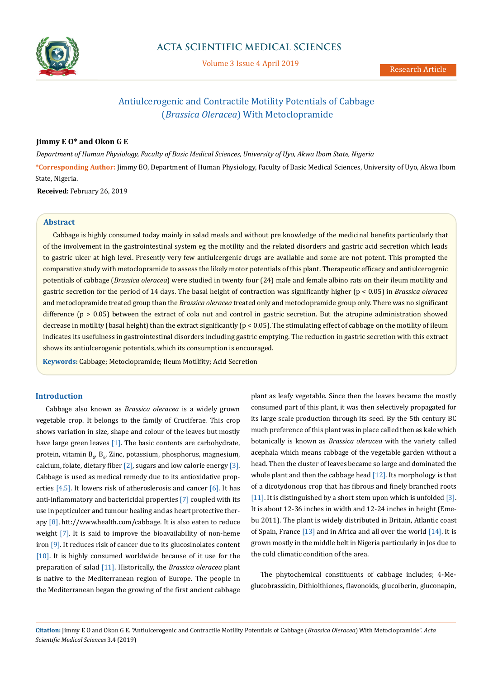

# **ACTA SCIENTIFIC MEDICAL SCIENCES**

Volume 3 Issue 4 April 2019

# Antiulcerogenic and Contractile Motility Potentials of Cabbage (*Brassica Oleracea*) With Metoclopramide

# **Jimmy E O\* and Okon G E**

*Department of Human Physiology, Faculty of Basic Medical Sciences, University of Uyo, Akwa Ibom State, Nigeria*

**\*Corresponding Author:** Jimmy EO, Department of Human Physiology, Faculty of Basic Medical Sciences, University of Uyo, Akwa Ibom State, Nigeria.

**Received:** February 26, 2019

# **Abstract**

Cabbage is highly consumed today mainly in salad meals and without pre knowledge of the medicinal benefits particularly that of the involvement in the gastrointestinal system eg the motility and the related disorders and gastric acid secretion which leads to gastric ulcer at high level. Presently very few antiulcergenic drugs are available and some are not potent. This prompted the comparative study with metoclopramide to assess the likely motor potentials of this plant. Therapeutic efficacy and antiulcerogenic potentials of cabbage (*Brassica oleracea*) were studied in twenty four (24) male and female albino rats on their ileum motility and gastric secretion for the period of 14 days. The basal height of contraction was significantly higher (p < 0.05) in *Brassica oleracea* and metoclopramide treated group than the *Brassica oleracea* treated only and metoclopramide group only. There was no significant difference (p > 0.05) between the extract of cola nut and control in gastric secretion. But the atropine administration showed decrease in motility (basal height) than the extract significantly ( $p < 0.05$ ). The stimulating effect of cabbage on the motility of ileum indicates its usefulness in gastrointestinal disorders including gastric emptying. The reduction in gastric secretion with this extract shows its antiulcerogenic potentials, which its consumption is encouraged.

**Keywords:** Cabbage; Metoclopramide; Ileum Motilfity; Acid Secretion

# **Introduction**

Cabbage also known as *Brassica oleracea* is a widely grown vegetable crop. It belongs to the family of Cruciferae. This crop shows variation in size, shape and colour of the leaves but mostly have large green leaves  $[1]$ . The basic contents are carbohydrate, protein, vitamin B<sub>5</sub>, B<sub>6</sub>, Zinc, potassium, phosphorus, magnesium, calcium, folate, dietary fiber  $[2]$ , sugars and low calorie energy  $[3]$ . Cabbage is used as medical remedy due to its antioxidative properties  $[4,5]$ . It lowers risk of atheroslerosis and cancer  $[6]$ . It has anti-inflammatory and bactericidal properties [7] coupled with its use in pepticulcer and tumour healing and as heart protective therapy [8], htt://www.health.com/cabbage. It is also eaten to reduce weight [7]. It is said to improve the bioavailability of non-heme iron [9]. It reduces risk of cancer due to its glucosinolates content [10]. It is highly consumed worldwide because of it use for the preparation of salad [11]. Historically, the *Brassica oleracea* plant is native to the Mediterranean region of Europe. The people in the Mediterranean began the growing of the first ancient cabbage plant as leafy vegetable. Since then the leaves became the mostly consumed part of this plant, it was then selectively propagated for its large scale production through its seed. By the 5th century BC much preference of this plant was in place called then as kale which botanically is known as *Brassica oleracea* with the variety called acephala which means cabbage of the vegetable garden without a head. Then the cluster of leaves became so large and dominated the whole plant and then the cabbage head  $[12]$ . Its morphology is that of a dicotydonous crop that has fibrous and finely branched roots [11]. It is distinguished by a short stem upon which is unfolded [3]. It is about 12-36 inches in width and 12-24 inches in height (Emebu 2011). The plant is widely distributed in Britain, Atlantic coast of Spain, France [13] and in Africa and all over the world [14]. It is grown mostly in the middle belt in Nigeria particularly in Jos due to the cold climatic condition of the area.

The phytochemical constituents of cabbage includes; 4-Meglucobrassicin, Dithiolthiones, flavonoids, glucoiberin, gluconapin,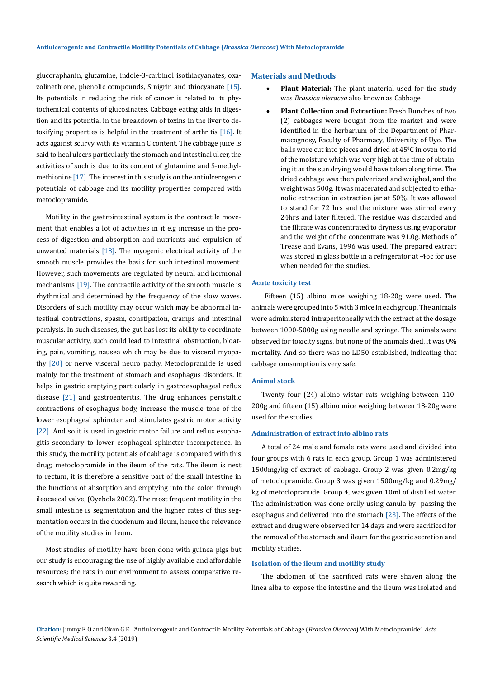glucoraphanin, glutamine, indole-3-carbinol isothiacyanates, oxazolinethione, phenolic compounds, Sinigrin and thiocyanate [15]. Its potentials in reducing the risk of cancer is related to its phytochemical contents of glucosinates. Cabbage eating aids in digestion and its potential in the breakdown of toxins in the liver to detoxifying properties is helpful in the treatment of arthritis [16]. It acts against scurvy with its vitamin C content. The cabbage juice is said to heal ulcers particularly the stomach and intestinal ulcer, the activities of such is due to its content of glutamine and S-methylmethionine [17]. The interest in this study is on the antiulcerogenic potentials of cabbage and its motility properties compared with metoclopramide.

Motility in the gastrointestinal system is the contractile movement that enables a lot of activities in it e.g increase in the process of digestion and absorption and nutrients and expulsion of unwanted materials [18]. The myogenic electrical activity of the smooth muscle provides the basis for such intestinal movement. However, such movements are regulated by neural and hormonal mechanisms [19]. The contractile activity of the smooth muscle is rhythmical and determined by the frequency of the slow waves. Disorders of such motility may occur which may be abnormal intestinal contractions, spasm, constipation, cramps and intestinal paralysis. In such diseases, the gut has lost its ability to coordinate muscular activity, such could lead to intestinal obstruction, bloating, pain, vomiting, nausea which may be due to visceral myopathy [20] or nerve visceral neuro pathy. Metoclopramide is used mainly for the treatment of stomach and esophagus disorders. It helps in gastric emptying particularly in gastroesophageal reflux disease [21] and gastroenteritis. The drug enhances peristaltic contractions of esophagus body, increase the muscle tone of the lower esophageal sphincter and stimulates gastric motor activity [22]. And so it is used in gastric motor failure and reflux esophagitis secondary to lower esophageal sphincter incompetence. In this study, the motility potentials of cabbage is compared with this drug; metoclopramide in the ileum of the rats. The ileum is next to rectum, it is therefore a sensitive part of the small intestine in the functions of absorption and emptying into the colon through ileocaecal valve, (Oyebola 2002). The most frequent motility in the small intestine is segmentation and the higher rates of this segmentation occurs in the duodenum and ileum, hence the relevance of the motility studies in ileum.

Most studies of motility have been done with guinea pigs but our study is encouraging the use of highly available and affordable resources; the rats in our environment to assess comparative research which is quite rewarding.

## **Materials and Methods**

- Plant Material: The plant material used for the study was *Brassica oleracea* also known as Cabbage
- **Plant Collection and Extraction: Fresh Bunches of two** (2) cabbages were bought from the market and were identified in the herbarium of the Department of Pharmacognosy, Faculty of Pharmacy, University of Uyo. The balls were cut into pieces and dried at  $45^{\circ}$ C in oven to rid of the moisture which was very high at the time of obtaining it as the sun drying would have taken along time. The dried cabbage was then pulverized and weighed, and the weight was 500g. It was macerated and subjected to ethanolic extraction in extraction jar at 50%. It was allowed to stand for 72 hrs and the mixture was stirred every 24hrs and later filtered. The residue was discarded and the filtrate was concentrated to dryness using evaporator and the weight of the concentrate was 91.0g. Methods of Trease and Evans, 1996 was used. The prepared extract was stored in glass bottle in a refrigerator at -4oc for use when needed for the studies.

# **Acute toxicity test**

 Fifteen (15) albino mice weighing 18-20g were used. The animals were grouped into 5 with 3 mice in each group. The animals were administered intraperitoneally with the extract at the dosage between 1000-5000g using needle and syringe. The animals were observed for toxicity signs, but none of the animals died, it was 0% mortality. And so there was no LD50 established, indicating that cabbage consumption is very safe.

#### **Animal stock**

Twenty four (24) albino wistar rats weighing between 110- 200g and fifteen (15) albino mice weighing between 18-20g were used for the studies

## **Administration of extract into albino rats**

A total of 24 male and female rats were used and divided into four groups with 6 rats in each group. Group 1 was administered 1500mg/kg of extract of cabbage. Group 2 was given 0.2mg/kg of metoclopramide. Group 3 was given 1500mg/kg and 0.29mg/ kg of metoclopramide. Group 4, was given 10ml of distilled water. The administration was done orally using canula by- passing the esophagus and delivered into the stomach [23]. The effects of the extract and drug were observed for 14 days and were sacrificed for the removal of the stomach and ileum for the gastric secretion and motility studies.

#### **Isolation of the ileum and motility study**

The abdomen of the sacrificed rats were shaven along the linea alba to expose the intestine and the ileum was isolated and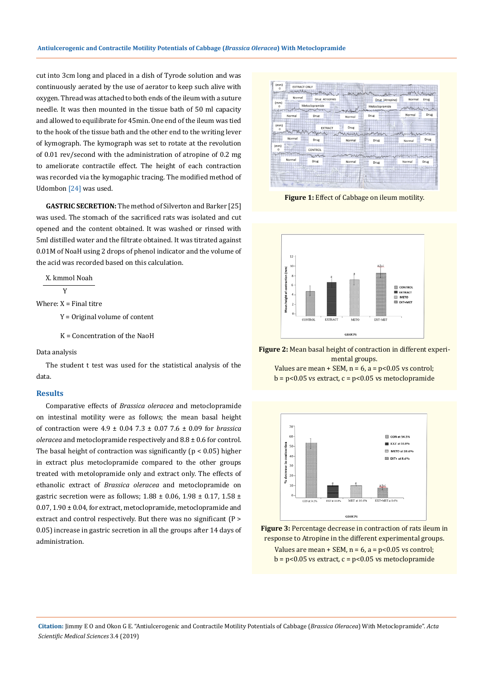cut into 3cm long and placed in a dish of Tyrode solution and was continuously aerated by the use of aerator to keep such alive with oxygen. Thread was attached to both ends of the ileum with a suture needle. It was then mounted in the tissue bath of 50 ml capacity and allowed to equilibrate for 45min. One end of the ileum was tied to the hook of the tissue bath and the other end to the writing lever of kymograph. The kymograph was set to rotate at the revolution of 0.01 rev/second with the administration of atropine of 0.2 mg to ameliorate contractile effect. The height of each contraction was recorded via the kymogaphic tracing. The modified method of Udombon [24] was used.

**GASTRIC SECRETION:** The method of Silverton and Barker [25] was used. The stomach of the sacrificed rats was isolated and cut opened and the content obtained. It was washed or rinsed with 5ml distilled water and the filtrate obtained. It was titrated against 0.01M of NoaH using 2 drops of phenol indicator and the volume of the acid was recorded based on this calculation.

X. kmmol Noah

$$
-\mathbf{Y}
$$

Where:  $X =$  Final titre

Y = Original volume of content

K = Concentration of the NaoH

Data analysis

The student t test was used for the statistical analysis of the data.

# **Results**

Comparative effects of *Brassica oleracea* and metoclopramide on intestinal motility were as follows; the mean basal height of contraction were 4.9 ± 0.04 7.3 ± 0.07 7.6 ± 0.09 for *brassica oleracea* and metoclopramide respectively and 8.8 ± 0.6 for control. The basal height of contraction was significantly ( $p < 0.05$ ) higher in extract plus metoclopramide compared to the other groups treated with metolopramide only and extract only. The effects of ethanolic extract of *Brassica oleracea* and metoclopramide on gastric secretion were as follows;  $1.88 \pm 0.06$ ,  $1.98 \pm 0.17$ ,  $1.58 \pm 0.06$ 0.07, 1.90 ± 0.04, for extract, metoclopramide, metoclopramide and extract and control respectively. But there was no significant (P > 0.05) increase in gastric secretion in all the groups after 14 days of administration.



**Figure 1:** Effect of Cabbage on ileum motility.



**Figure 2:** Mean basal height of contraction in different experimental groups.

Values are mean + SEM,  $n = 6$ ,  $a = p < 0.05$  vs control;  $b = p<0.05$  vs extract,  $c = p<0.05$  vs metoclopramide



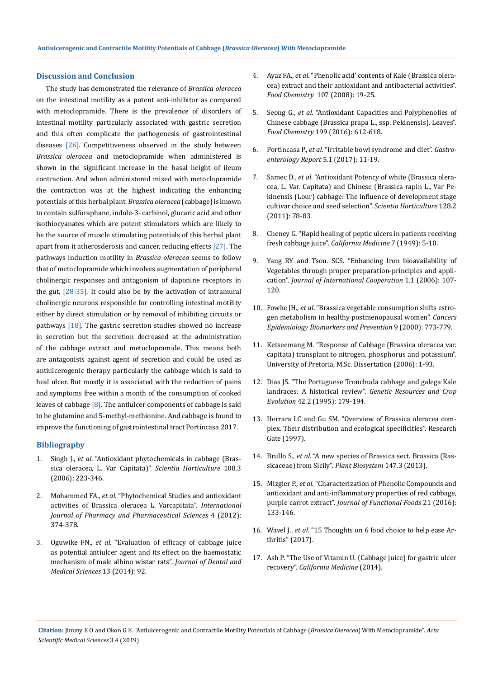## **Discussion and Conclusion**

The study has demonstrated the relevance of *Brassica oleracea* on the intestinal motility as a potent anti-inhibitor as compared with metoclopramide. There is the prevalence of disorders of intestinal motility particularly associated with gastric secretion and this often complicate the pathogenesis of gastrointestinal diseases [26]. Competitiveness observed in the study between *Brassica oleracea* and metoclopramide when administered is shown in the significant increase in the basal height of ileum contraction. And when administered mixed with metoclopramide the contraction was at the highest indicating the enhancing potentials of this herbal plant. *Brassica oleracea* (cabbage) is known to contain sulforaphane, indole-3- carbinol, glucaric acid and other isothiocyanates which are potent stimulators which are likely to be the source of muscle stimulating potentials of this herbal plant apart from it atherosderosis and cancer, reducing effects [27]. The pathways induction motility in *Brassica oleracea* seems to follow that of metoclopramide which involves augmentation of peripheral cholinergic responses and antagonism of daponine receptors in the gut, [28-35]. It could also be by the activation of intramural cholinergic neurons responsible for controlling intestinal motility either by direct stimulation or by removal of inhibiting circuits or pathways [18]. The gastric secretion studies showed no increase in secretion but the secretion decreased at the administration of the cabbage extract and metoclopramide. This means both are antagonists against agent of secretion and could be used as antiulcerogenic therapy particularly the cabbage which is said to heal ulcer. But mostly it is associated with the reduction of pains and symptoms free within a month of the consumption of cooked leaves of cabbage [8]. The antiulcer components of cabbage is said to be glutamine and 5-methyl-methionine. And cabbage is found to improve the functioning of gastrointestinal tract Portincasa 2017.

# **Bibliography**

- 1. Singh J., *et al*[. "Antioxidant phytochemicals in cabbage \(Bras](https://www.sciencedirect.com/science/article/pii/S0304423806000483)[sica oleracea, L. Var Capitata\)".](https://www.sciencedirect.com/science/article/pii/S0304423806000483) *Scientia Horticulture* 108.3 [\(2006\): 223-346.](https://www.sciencedirect.com/science/article/pii/S0304423806000483)
- 2. Mohammed FA., *et al*. "Phytochemical Studies and antioxidant activities of Brassica oleracea L. Varcapitata". *International Journal of Pharmacy and Pharmaceutical Sciences* 4 (2012): 374-378.
- 3. Oguwike FN., *et al*[. "Evaluation of efficacy of cabbage juice](https://www.researchgate.net/publication/272774008_Evaluation_of_Efficacy_of_Cabbage_Juice_Brassica_Oleracea_Linne_As_Potential_Antiulcer_Aggent_and_Its_Effect_on_the_Haemostatic_Mechanism_of_Male_Albino_Wistar_Rats) [as potential antiulcer agent and its effect on the haemostatic](https://www.researchgate.net/publication/272774008_Evaluation_of_Efficacy_of_Cabbage_Juice_Brassica_Oleracea_Linne_As_Potential_Antiulcer_Aggent_and_Its_Effect_on_the_Haemostatic_Mechanism_of_Male_Albino_Wistar_Rats) [mechanism of male albino wistar rats".](https://www.researchgate.net/publication/272774008_Evaluation_of_Efficacy_of_Cabbage_Juice_Brassica_Oleracea_Linne_As_Potential_Antiulcer_Aggent_and_Its_Effect_on_the_Haemostatic_Mechanism_of_Male_Albino_Wistar_Rats) *Journal of Dental and [Medical Sciences](https://www.researchgate.net/publication/272774008_Evaluation_of_Efficacy_of_Cabbage_Juice_Brassica_Oleracea_Linne_As_Potential_Antiulcer_Aggent_and_Its_Effect_on_the_Haemostatic_Mechanism_of_Male_Albino_Wistar_Rats)* 13 (2014): 92.
- 4. Ayaz FA., *et al*[. "Phenolic acid' contents of Kale \(Brassica olera](https://www.researchgate.net/publication/224042713_Phenolic_acid_contents_of_kale_Brassica_oleraceae_L_var_Acephala_DC_extracts_and_their_antioxidant_and_antibacterial_activities)[cea\) extract and their antioxidant and antibacterial activities".](https://www.researchgate.net/publication/224042713_Phenolic_acid_contents_of_kale_Brassica_oleraceae_L_var_Acephala_DC_extracts_and_their_antioxidant_and_antibacterial_activities) *Food Chemistry* [107 \(2008\): 19-25.](https://www.researchgate.net/publication/224042713_Phenolic_acid_contents_of_kale_Brassica_oleraceae_L_var_Acephala_DC_extracts_and_their_antioxidant_and_antibacterial_activities)
- 5. Seong G., *et al*[. "Antioxidant Capacities and Polyphenolies of](https://www.ncbi.nlm.nih.gov/pubmed/26776015) [Chinese cabbage \(Brassica prapa L., ssp. Pekinensis\). Leaves".](https://www.ncbi.nlm.nih.gov/pubmed/26776015) *Food Chemistry* [199 \(2016\): 612-618.](https://www.ncbi.nlm.nih.gov/pubmed/26776015)
- 6. Portincasa P., *et al*. "Irritable bowl syndrome and diet". *Gastroenterology Report* 5.1 (2017): 11-19.
- 7. Samec D., *et al*[. "Antioxidant Potency of white \(Brassica olera](https://www.sciencedirect.com/science/article/pii/S0304423811000148)[cea, L. Var. Capitata\) and Chinese \(Brassica rapin L., Var Pe](https://www.sciencedirect.com/science/article/pii/S0304423811000148)[kinensis \(Lour\) cabbage: The influence of development stage](https://www.sciencedirect.com/science/article/pii/S0304423811000148)  [cultivar choice and seed selection".](https://www.sciencedirect.com/science/article/pii/S0304423811000148) *Scientia Horticulture* 128.2 [\(2011\): 78-83.](https://www.sciencedirect.com/science/article/pii/S0304423811000148)
- 8. [Cheney G. "Rapid healing of peptic ulcers in patients receiving](https://www.ncbi.nlm.nih.gov/pmc/articles/PMC1643665/)  fresh cabbage juice". *[California Medicine](https://www.ncbi.nlm.nih.gov/pmc/articles/PMC1643665/)* 7 (1949): 5-10.
- 9. [Yang RY and Tsou. SCS. "Enhancing Iron bioavailability of](https://www.researchgate.net/publication/262374128_Enhancing_iron_bioavailability_of_vegetables_through_proper_preparation--principles_and_applications) [Vegetables through proper preparation-principles and appli](https://www.researchgate.net/publication/262374128_Enhancing_iron_bioavailability_of_vegetables_through_proper_preparation--principles_and_applications)cation". *[Journal of International Cooperation](https://www.researchgate.net/publication/262374128_Enhancing_iron_bioavailability_of_vegetables_through_proper_preparation--principles_and_applications)* 1.1 (2006): 107- [120.](https://www.researchgate.net/publication/262374128_Enhancing_iron_bioavailability_of_vegetables_through_proper_preparation--principles_and_applications)
- 10. Fowke JH., *et al*[. "Brassica vegetable consumption shifts estro](https://www.ncbi.nlm.nih.gov/pubmed/10952093)[gen metabolism in healthy postmenopausal women".](https://www.ncbi.nlm.nih.gov/pubmed/10952093) *Cancers [Epidemiology Biomarkers and Prevention](https://www.ncbi.nlm.nih.gov/pubmed/10952093)* 9 (2000): 773-779.
- 11. Ketseemang M. "Response of Cabbage (Brassica oleracea var. capitata) transplant to nitrogen, phosphorus and potassium". University of Pretoria, M.Sc. Dissertation (2006): 1-93.
- 12. [Dias JS. "The Portuguese Tronchuda cabbage and galega Kale](https://www.researchgate.net/publication/225564188_The_Portuguese_tronchuda_cabbage_and_galega_kale_landraces_A_historical_review)  landraces: A historical review". *[Genetic Resources and Crop](https://www.researchgate.net/publication/225564188_The_Portuguese_tronchuda_cabbage_and_galega_kale_landraces_A_historical_review) Evolution* [42.2 \(1995\): 179-194.](https://www.researchgate.net/publication/225564188_The_Portuguese_tronchuda_cabbage_and_galega_kale_landraces_A_historical_review)
- 13. Herrara LC and Gu SM. "Overview of Brassica oleracea complex. Their distribution and ecological specificities". Research Gate (1997).
- 14. Brullo S., *et al*[. "A new species of Brassica sect. Brassica \(Ras](https://www.tandfonline.com/doi/abs/10.1080/11263504.2013.829885)[sicaceae\) from Sicily".](https://www.tandfonline.com/doi/abs/10.1080/11263504.2013.829885) *Plant Biosystem* 147.3 (2013).
- 15. Mizgier P., *et al*[. "Characterization of Phenolic Compounds and](https://www.sciencedirect.com/science/article/pii/S1756464615005952) [antioxidant and anti-inflammatory properties of red cabbage,](https://www.sciencedirect.com/science/article/pii/S1756464615005952)  purple carrot extract". *[Journal of Functional Foods](https://www.sciencedirect.com/science/article/pii/S1756464615005952)* 21 (2016): [133-146.](https://www.sciencedirect.com/science/article/pii/S1756464615005952)
- 16. Wavel J., *et al*. "15 Thoughts on 6 food choice to help ease Arthritis" (2017).
- 17. [Ash P. "The Use of Vitamin U. \(Cabbage juice\) for gastric ulcer](https://www.clinicaleducation.org/resources/reviews/the-use-of-vitamin-u-for-gastric-ulcer-recovery/) recovery". *[California Medicine](https://www.clinicaleducation.org/resources/reviews/the-use-of-vitamin-u-for-gastric-ulcer-recovery/)* (2014).

**Citation:** Jimmy E O and Okon G E. "Antiulcerogenic and Contractile Motility Potentials of Cabbage (*Brassica Oleracea*) With Metoclopramide". *Acta Scientific Medical Sciences* 3.4 (2019)